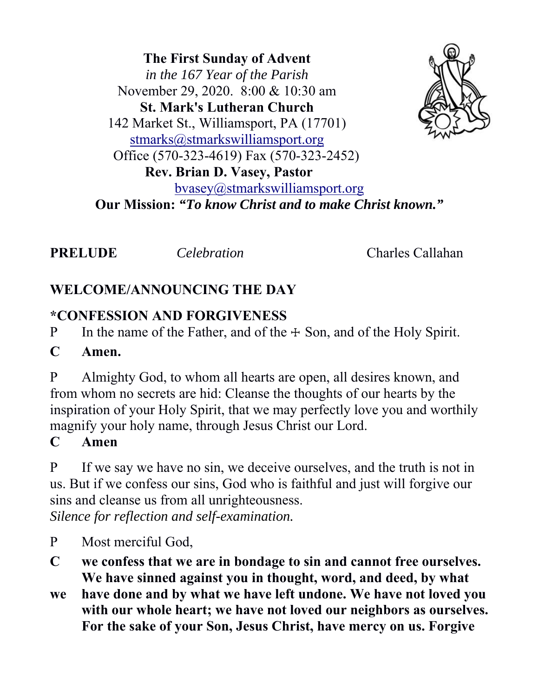**The First Sunday of Advent** *in the 167 Year of the Parish* November 29, 2020. 8:00 & 10:30 am **St. Mark's Lutheran Church**  142 Market St., Williamsport, PA (17701) stmarks@stmarkswilliamsport.org Office (570-323-4619) Fax (570-323-2452)  **Rev. Brian D. Vasey, Pastor** bvasey@stmarkswilliamsport.org **Our Mission:** *"To know Christ and to make Christ known."*

**PRELUDE** *Celebration* Charles Callahan

# **WELCOME/ANNOUNCING THE DAY**

# **\*CONFESSION AND FORGIVENESS**

P In the name of the Father, and of the  $\pm$  Son, and of the Holy Spirit.

#### **C Amen.**

P Almighty God, to whom all hearts are open, all desires known, and from whom no secrets are hid: Cleanse the thoughts of our hearts by the inspiration of your Holy Spirit, that we may perfectly love you and worthily magnify your holy name, through Jesus Christ our Lord.

#### **C Amen**

P If we say we have no sin, we deceive ourselves, and the truth is not in us. But if we confess our sins, God who is faithful and just will forgive our sins and cleanse us from all unrighteousness.

*Silence for reflection and self-examination.* 

- P Most merciful God,
- **C we confess that we are in bondage to sin and cannot free ourselves. We have sinned against you in thought, word, and deed, by what**
- **we have done and by what we have left undone. We have not loved you with our whole heart; we have not loved our neighbors as ourselves. For the sake of your Son, Jesus Christ, have mercy on us. Forgive**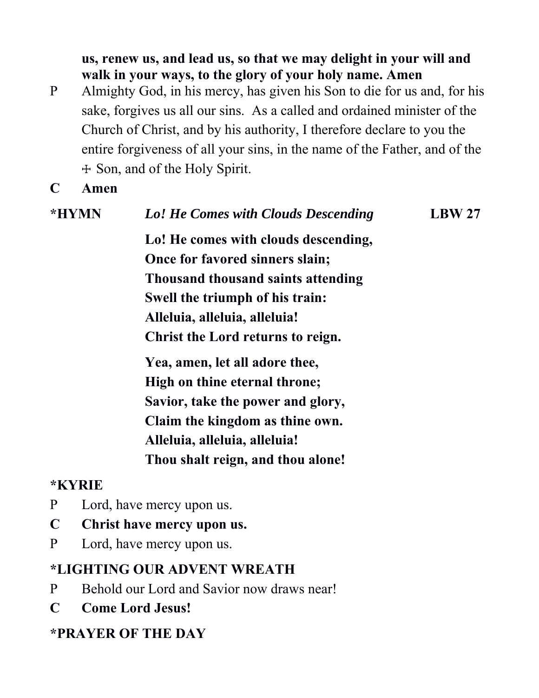**us, renew us, and lead us, so that we may delight in your will and walk in your ways, to the glory of your holy name. Amen**

- P Almighty God, in his mercy, has given his Son to die for us and, for his sake, forgives us all our sins. As a called and ordained minister of the Church of Christ, and by his authority, I therefore declare to you the entire forgiveness of all your sins, in the name of the Father, and of the ☩ Son, and of the Holy Spirit.
- **C Amen**

| *HYMN | Lo! He Comes with Clouds Descending  | LBW27 |
|-------|--------------------------------------|-------|
|       | Lo! He comes with clouds descending, |       |
|       | Once for favored sinners slain;      |       |
|       | Thousand thousand saints attending   |       |
|       | Swell the triumph of his train:      |       |
|       | Alleluia, alleluia, alleluia!        |       |
|       | Christ the Lord returns to reign.    |       |
|       | Yea, amen, let all adore thee,       |       |
|       | High on thine eternal throne;        |       |
|       | Savior, take the power and glory,    |       |
|       | Claim the kingdom as thine own.      |       |
|       | Alleluia, alleluia, alleluia!        |       |
|       | Thou shalt reign, and thou alone!    |       |

#### **\*KYRIE**

- P Lord, have mercy upon us.
- **C Christ have mercy upon us.**
- P Lord, have mercy upon us.

#### **\*LIGHTING OUR ADVENT WREATH**

- P Behold our Lord and Savior now draws near!
- **C Come Lord Jesus!**

# **\*PRAYER OF THE DAY**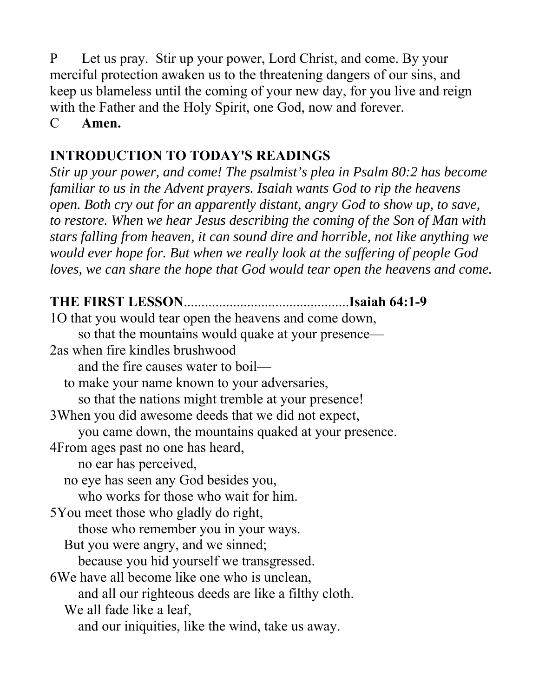P Let us pray. Stir up your power, Lord Christ, and come. By your merciful protection awaken us to the threatening dangers of our sins, and keep us blameless until the coming of your new day, for you live and reign with the Father and the Holy Spirit, one God, now and forever.

C **Amen.**

# **INTRODUCTION TO TODAY'S READINGS**

*Stir up your power, and come! The psalmist's plea in Psalm 80:2 has become familiar to us in the Advent prayers. Isaiah wants God to rip the heavens open. Both cry out for an apparently distant, angry God to show up, to save, to restore. When we hear Jesus describing the coming of the Son of Man with stars falling from heaven, it can sound dire and horrible, not like anything we would ever hope for. But when we really look at the suffering of people God loves, we can share the hope that God would tear open the heavens and come.*

# **THE FIRST LESSON**...............................................**Isaiah 64:1-9**

1O that you would tear open the heavens and come down, so that the mountains would quake at your presence— 2as when fire kindles brushwood and the fire causes water to boil to make your name known to your adversaries, so that the nations might tremble at your presence! 3When you did awesome deeds that we did not expect, you came down, the mountains quaked at your presence. 4From ages past no one has heard, no ear has perceived, no eye has seen any God besides you, who works for those who wait for him. 5You meet those who gladly do right, those who remember you in your ways. But you were angry, and we sinned; because you hid yourself we transgressed. 6We have all become like one who is unclean, and all our righteous deeds are like a filthy cloth. We all fade like a leaf, and our iniquities, like the wind, take us away.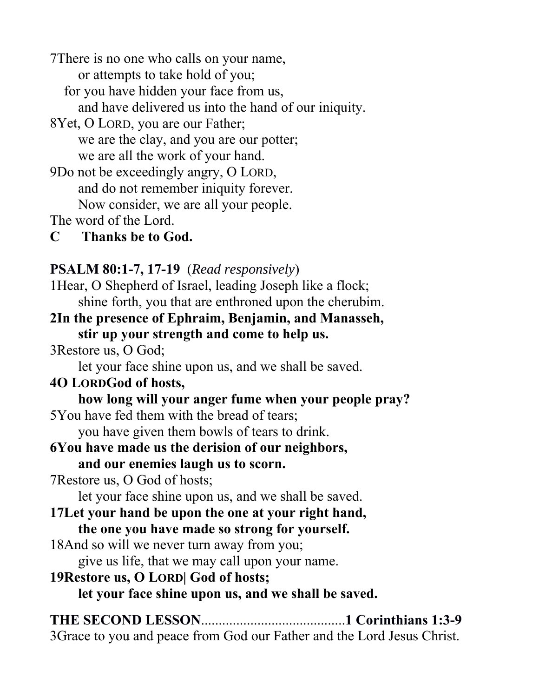7There is no one who calls on your name,

or attempts to take hold of you;

for you have hidden your face from us,

and have delivered us into the hand of our iniquity.

8Yet, O LORD, you are our Father; we are the clay, and you are our potter; we are all the work of your hand.

9Do not be exceedingly angry, O LORD, and do not remember iniquity forever. Now consider, we are all your people.

The word of the Lord.

**C Thanks be to God.**

# **PSALM 80:1-7, 17-19** (*Read responsively*)

1Hear, O Shepherd of Israel, leading Joseph like a flock; shine forth, you that are enthroned upon the cherubim.

- **2In the presence of Ephraim, Benjamin, and Manasseh, stir up your strength and come to help us.**
- 3Restore us, O God;

let your face shine upon us, and we shall be saved.

# **4O LORDGod of hosts,**

 **how long will your anger fume when your people pray?**  5You have fed them with the bread of tears;

you have given them bowls of tears to drink.

#### **6You have made us the derision of our neighbors, and our enemies laugh us to scorn.**

7Restore us, O God of hosts;

let your face shine upon us, and we shall be saved.

#### **17Let your hand be upon the one at your right hand, the one you have made so strong for yourself.**

18And so will we never turn away from you;

give us life, that we may call upon your name.

# **19Restore us, O LORD| God of hosts;**

 **let your face shine upon us, and we shall be saved.**

**THE SECOND LESSON**.........................................**1 Corinthians 1:3-9**

3Grace to you and peace from God our Father and the Lord Jesus Christ.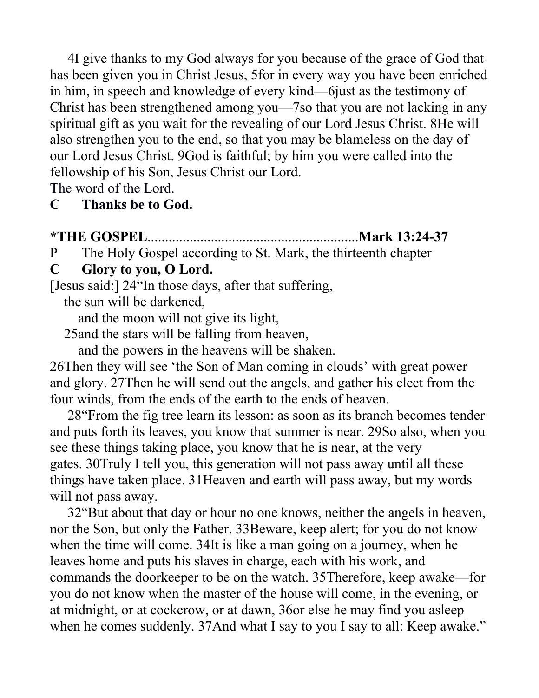4I give thanks to my God always for you because of the grace of God that has been given you in Christ Jesus, 5for in every way you have been enriched in him, in speech and knowledge of every kind—6just as the testimony of Christ has been strengthened among you—7so that you are not lacking in any spiritual gift as you wait for the revealing of our Lord Jesus Christ. 8He will also strengthen you to the end, so that you may be blameless on the day of our Lord Jesus Christ. 9God is faithful; by him you were called into the fellowship of his Son, Jesus Christ our Lord.

The word of the Lord.

#### **C Thanks be to God.**

#### **\*THE GOSPEL**............................................................**Mark 13:24-37**

P The Holy Gospel according to St. Mark, the thirteenth chapter

#### **C Glory to you, O Lord.**

[Jesus said:] 24"In those days, after that suffering,

the sun will be darkened,

and the moon will not give its light,

25and the stars will be falling from heaven,

and the powers in the heavens will be shaken.

26Then they will see 'the Son of Man coming in clouds' with great power and glory. 27Then he will send out the angels, and gather his elect from the four winds, from the ends of the earth to the ends of heaven.

 28"From the fig tree learn its lesson: as soon as its branch becomes tender and puts forth its leaves, you know that summer is near. 29So also, when you see these things taking place, you know that he is near, at the very gates. 30Truly I tell you, this generation will not pass away until all these things have taken place. 31Heaven and earth will pass away, but my words will not pass away.

 32"But about that day or hour no one knows, neither the angels in heaven, nor the Son, but only the Father. 33Beware, keep alert; for you do not know when the time will come. 34It is like a man going on a journey, when he leaves home and puts his slaves in charge, each with his work, and commands the doorkeeper to be on the watch. 35Therefore, keep awake—for you do not know when the master of the house will come, in the evening, or at midnight, or at cockcrow, or at dawn, 36or else he may find you asleep when he comes suddenly. 37And what I say to you I say to all: Keep awake."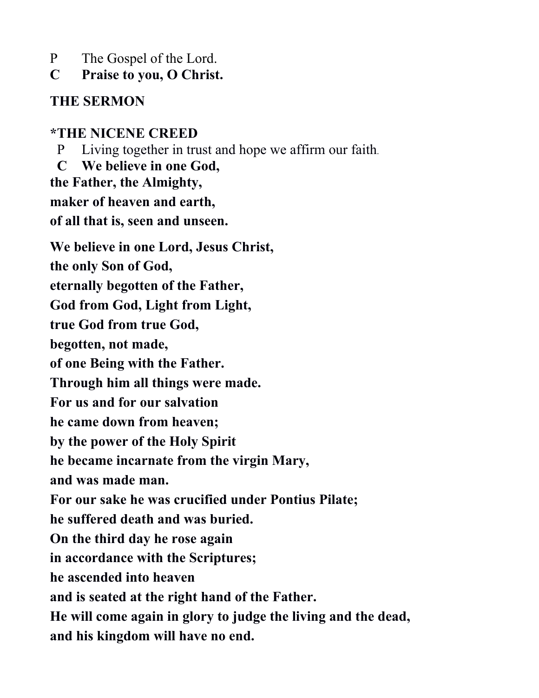- P The Gospel of the Lord.
- **C Praise to you, O Christ.**

### **THE SERMON**

# **\*THE NICENE CREED**

P Living together in trust and hope we affirm our faith.

 **C We believe in one God, the Father, the Almighty, maker of heaven and earth, of all that is, seen and unseen. We believe in one Lord, Jesus Christ, the only Son of God, eternally begotten of the Father, God from God, Light from Light, true God from true God, begotten, not made, of one Being with the Father. Through him all things were made. For us and for our salvation he came down from heaven; by the power of the Holy Spirit he became incarnate from the virgin Mary, and was made man. For our sake he was crucified under Pontius Pilate; he suffered death and was buried. On the third day he rose again in accordance with the Scriptures; he ascended into heaven and is seated at the right hand of the Father. He will come again in glory to judge the living and the dead, and his kingdom will have no end.**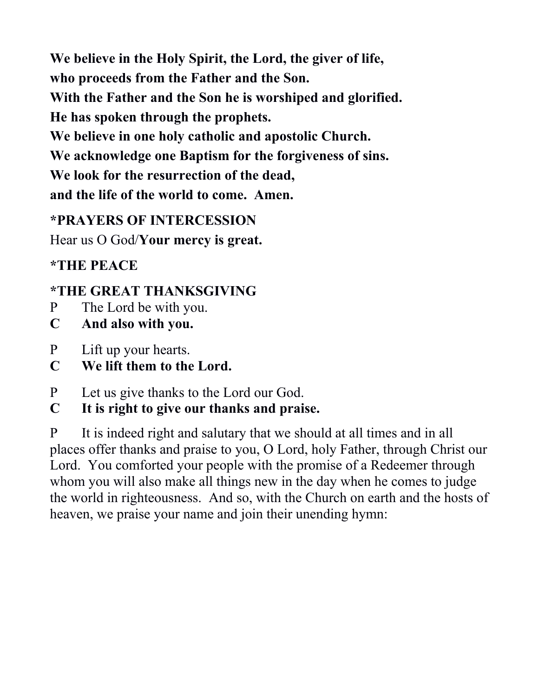**We believe in the Holy Spirit, the Lord, the giver of life, who proceeds from the Father and the Son.**

**With the Father and the Son he is worshiped and glorified.**

**He has spoken through the prophets.**

**We believe in one holy catholic and apostolic Church.**

**We acknowledge one Baptism for the forgiveness of sins.**

**We look for the resurrection of the dead,**

**and the life of the world to come. Amen.**

#### **\*PRAYERS OF INTERCESSION**

Hear us O God/**Your mercy is great.**

**\*THE PEACE**

# **\*THE GREAT THANKSGIVING**

- P The Lord be with you.
- **C And also with you.**
- P Lift up your hearts.
- **C We lift them to the Lord.**
- P Let us give thanks to the Lord our God.
- **C It is right to give our thanks and praise.**

P It is indeed right and salutary that we should at all times and in all places offer thanks and praise to you, O Lord, holy Father, through Christ our Lord. You comforted your people with the promise of a Redeemer through whom you will also make all things new in the day when he comes to judge the world in righteousness. And so, with the Church on earth and the hosts of heaven, we praise your name and join their unending hymn: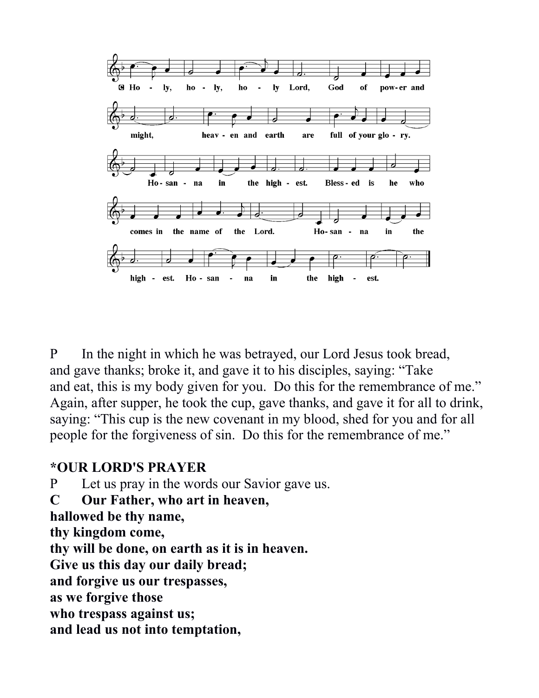

P In the night in which he was betrayed, our Lord Jesus took bread, and gave thanks; broke it, and gave it to his disciples, saying: "Take and eat, this is my body given for you. Do this for the remembrance of me." Again, after supper, he took the cup, gave thanks, and gave it for all to drink, saying: "This cup is the new covenant in my blood, shed for you and for all people for the forgiveness of sin. Do this for the remembrance of me."

#### **\*OUR LORD'S PRAYER**

P Let us pray in the words our Savior gave us.

**C Our Father, who art in heaven,** 

**hallowed be thy name,** 

**thy kingdom come,** 

**thy will be done, on earth as it is in heaven.** 

**Give us this day our daily bread;** 

**and forgive us our trespasses,** 

**as we forgive those** 

**who trespass against us;** 

**and lead us not into temptation,**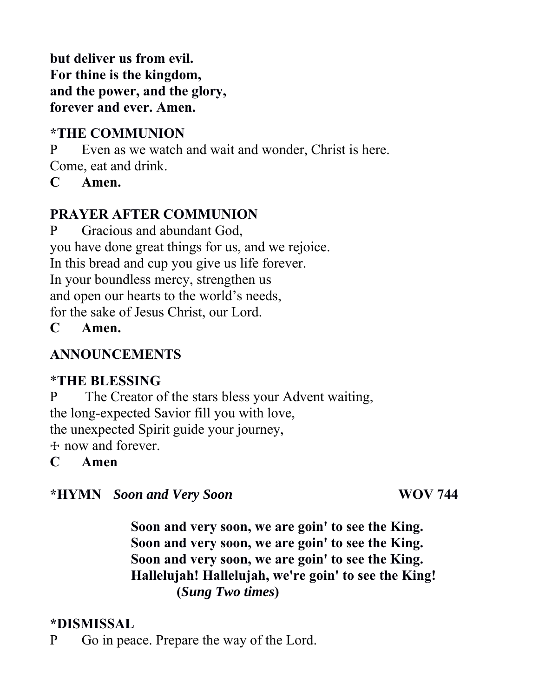**but deliver us from evil. For thine is the kingdom, and the power, and the glory, forever and ever. Amen.**

#### **\*THE COMMUNION**

P Even as we watch and wait and wonder, Christ is here. Come, eat and drink.

**C Amen.**

#### **PRAYER AFTER COMMUNION**

P Gracious and abundant God, you have done great things for us, and we rejoice. In this bread and cup you give us life forever. In your boundless mercy, strengthen us and open our hearts to the world's needs, for the sake of Jesus Christ, our Lord.

**C Amen.**

#### **ANNOUNCEMENTS**

#### \***THE BLESSING**

P The Creator of the stars bless your Advent waiting, the long-expected Savior fill you with love, the unexpected Spirit guide your journey, ☩ now and forever.

**C Amen**

**\*HYMN** *Soon and Very Soon* **WOV 744**

 **Soon and very soon, we are goin' to see the King. Soon and very soon, we are goin' to see the King. Soon and very soon, we are goin' to see the King. Hallelujah! Hallelujah, we're goin' to see the King! (***Sung Two times***)**

# **\*DISMISSAL**

P Go in peace. Prepare the way of the Lord.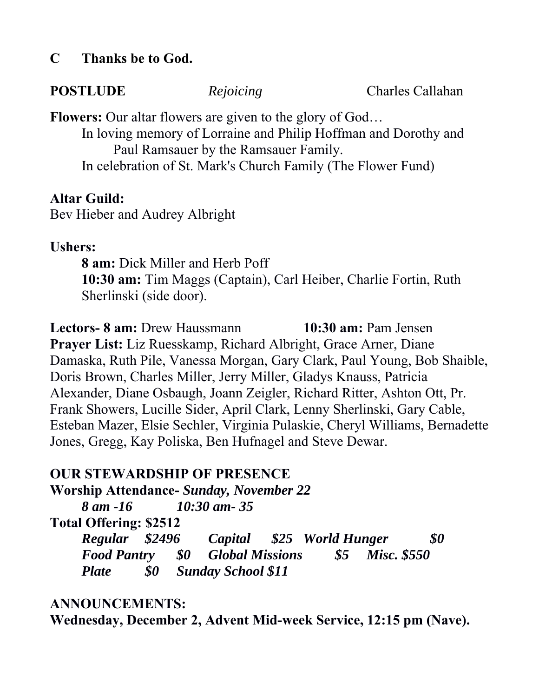#### **C Thanks be to God.**

**POSTLUDE** *Rejoicing* Charles Callahan

**Flowers:** Our altar flowers are given to the glory of God… In loving memory of Lorraine and Philip Hoffman and Dorothy and Paul Ramsauer by the Ramsauer Family. In celebration of St. Mark's Church Family (The Flower Fund)

#### **Altar Guild:**

Bev Hieber and Audrey Albright

#### **Ushers:**

**8 am:** Dick Miller and Herb Poff **10:30 am:** Tim Maggs (Captain), Carl Heiber, Charlie Fortin, Ruth Sherlinski (side door).

**Lectors- 8 am:** Drew Haussmann **10:30 am:** Pam Jensen **Prayer List:** Liz Ruesskamp, Richard Albright, Grace Arner, Diane Damaska, Ruth Pile, Vanessa Morgan, Gary Clark, Paul Young, Bob Shaible, Doris Brown, Charles Miller, Jerry Miller, Gladys Knauss, Patricia Alexander, Diane Osbaugh, Joann Zeigler, Richard Ritter, Ashton Ott, Pr. Frank Showers, Lucille Sider, April Clark, Lenny Sherlinski, Gary Cable, Esteban Mazer, Elsie Sechler, Virginia Pulaskie, Cheryl Williams, Bernadette Jones, Gregg, Kay Poliska, Ben Hufnagel and Steve Dewar.

# **OUR STEWARDSHIP OF PRESENCE**

**Worship Attendance-** *Sunday, November 22 8 am -16 10:30 am- 35* **Total Offering: \$2512** *Regular \$2496 Capital \$25 World Hunger \$0 Food Pantry \$0 Global Missions \$5 Misc. \$550 Plate \$0 Sunday School \$11*

#### **ANNOUNCEMENTS:**

**Wednesday, December 2, Advent Mid-week Service, 12:15 pm (Nave).**